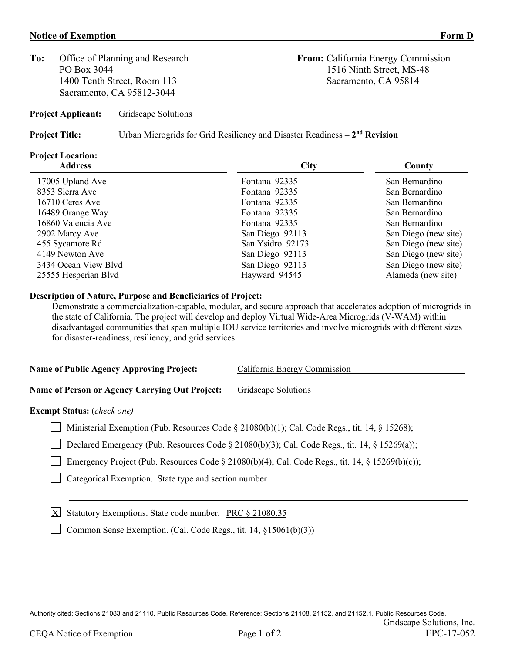#### **Notice of Exemption** Form D

**To:** Office of Planning and Research **From:** California Energy Commission 1400 Tenth Street, Room 113 Sacramento, CA 95814 Sacramento, CA 95812-3044

PO Box 3044 1516 Ninth Street, MS-48

**Project Applicant:** Gridscape Solutions

**Project Title:** Urban Microgrids for Grid Resiliency and Disaster Readiness **– 2nd Revision**

## **Project Location:**

|                  | County               |
|------------------|----------------------|
| Fontana 92335    | San Bernardino       |
| Fontana 92335    | San Bernardino       |
| Fontana 92335    | San Bernardino       |
| Fontana 92335    | San Bernardino       |
| Fontana 92335    | San Bernardino       |
| San Diego 92113  | San Diego (new site) |
| San Ysidro 92173 | San Diego (new site) |
| San Diego 92113  | San Diego (new site) |
| San Diego 92113  | San Diego (new site) |
| Hayward 94545    | Alameda (new site)   |
|                  | City                 |

#### **Description of Nature, Purpose and Beneficiaries of Project:**

Demonstrate a commercialization-capable, modular, and secure approach that accelerates adoption of microgrids in the state of California. The project will develop and deploy Virtual Wide-Area Microgrids (V-WAM) within disadvantaged communities that span multiple IOU service territories and involve microgrids with different sizes for disaster-readiness, resiliency, and grid services.

**Name of Public Agency Approving Project:** California Energy Commission

**Name of Person or Agency Carrying Out Project:** Gridscape Solutions

#### **Exempt Status:** (*check one)*

Ministerial Exemption (Pub. Resources Code § 21080(b)(1); Cal. Code Regs., tit. 14, § 15268);

Declared Emergency (Pub. Resources Code § 21080(b)(3); Cal. Code Regs., tit. 14, § 15269(a));

Emergency Project (Pub. Resources Code § 21080(b)(4); Cal. Code Regs., tit. 14, § 15269(b)(c));

Categorical Exemption. State type and section number

 $X$  Statutory Exemptions. State code number. PRC § 21080.35

Common Sense Exemption. (Cal. Code Regs., tit. 14,  $\S 15061(b)(3)$ )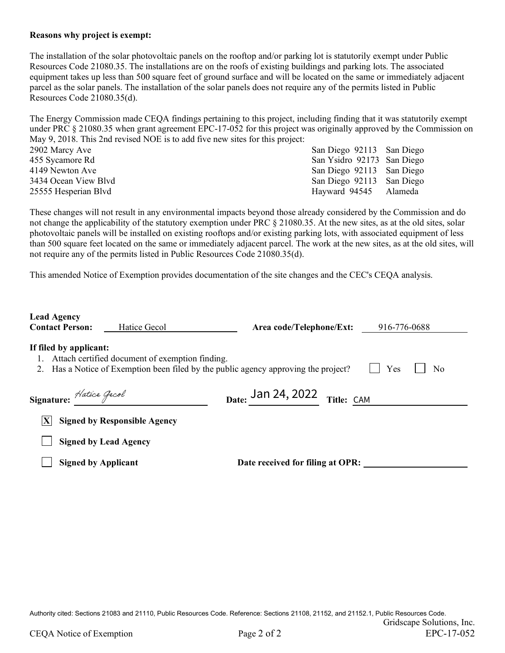#### **Reasons why project is exempt:**

The installation of the solar photovoltaic panels on the rooftop and/or parking lot is statutorily exempt under Public Resources Code 21080.35. The installations are on the roofs of existing buildings and parking lots. The associated equipment takes up less than 500 square feet of ground surface and will be located on the same or immediately adjacent parcel as the solar panels. The installation of the solar panels does not require any of the permits listed in Public Resources Code 21080.35(d).

The Energy Commission made CEQA findings pertaining to this project, including finding that it was statutorily exempt under PRC § 21080.35 when grant agreement EPC-17-052 for this project was originally approved by the Commission on May 9, 2018. This 2nd revised NOE is to add five new sites for this project: 2902 Marcy Ave San Diego 92113 San Diego 92113 San Diego

455 Sycamore Rd San Ysidro 92173 San Diego 4149 Newton Ave San Diego 92113 San Diego 3434 Ocean View Blvd San Diego 92113 San Diego 25555 Hesperian Blvd Hayward 94545 Alameda

These changes will not result in any environmental impacts beyond those already considered by the Commission and do not change the applicability of the statutory exemption under PRC § 21080.35. At the new sites, as at the old sites, solar photovoltaic panels will be installed on existing rooftops and/or existing parking lots, with associated equipment of less than 500 square feet located on the same or immediately adjacent parcel. The work at the new sites, as at the old sites, will not require any of the permits listed in Public Resources Code 21080.35(d).

This amended Notice of Exemption provides documentation of the site changes and the CEC's CEQA analysis.

| <b>Lead Agency</b><br><b>Contact Person:</b> | Hatice Gecol                                    | Area code/Telephone/Ext:                                                         | 916-776-0688 |
|----------------------------------------------|-------------------------------------------------|----------------------------------------------------------------------------------|--------------|
| If filed by applicant:<br>1.<br>2.           | Attach certified document of exemption finding. | Has a Notice of Exemption been filed by the public agency approving the project? | Yes<br>No    |
| Signature: Hatice Gecol                      |                                                 | Date: $Jan 24, 2022$ Title: CAM                                                  |              |
| X                                            | <b>Signed by Responsible Agency</b>             |                                                                                  |              |
|                                              | <b>Signed by Lead Agency</b>                    |                                                                                  |              |
| <b>Signed by Applicant</b>                   |                                                 | Date received for filing at OPR:                                                 |              |